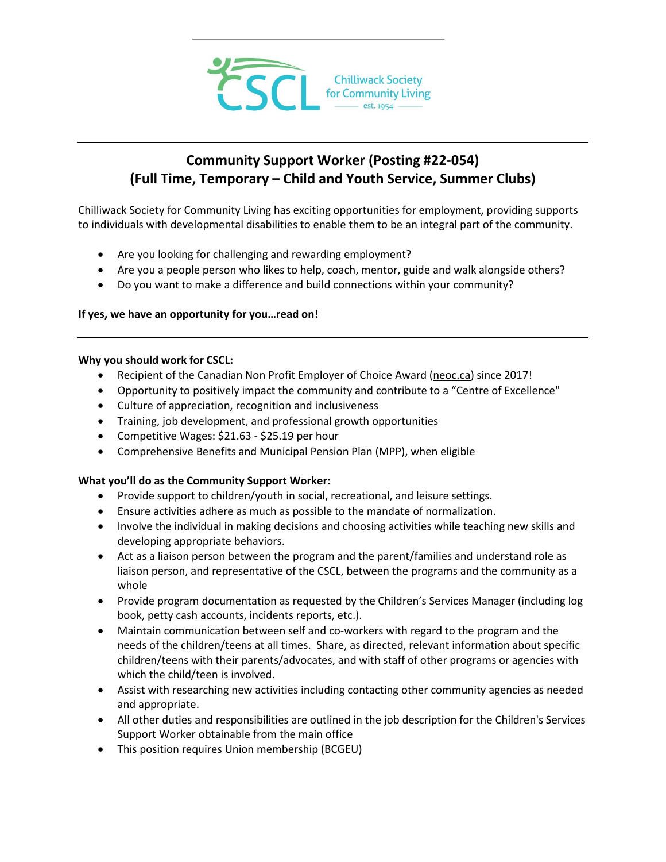

# **Community Support Worker (Posting #22-054) (Full Time, Temporary – Child and Youth Service, Summer Clubs)**

Chilliwack Society for Community Living has exciting opportunities for employment, providing supports to individuals with developmental disabilities to enable them to be an integral part of the community.

- Are you looking for challenging and rewarding employment?
- Are you a people person who likes to help, coach, mentor, guide and walk alongside others?
- Do you want to make a difference and build connections within your community?

# **If yes, we have an opportunity for you…read on!**

## **Why you should work for CSCL:**

- Recipient of the Canadian Non Profit Employer of Choice Award [\(neoc.ca\)](http://neoc.ca/) since 2017!
- Opportunity to positively impact the community and contribute to a "Centre of Excellence"
- Culture of appreciation, recognition and inclusiveness
- Training, job development, and professional growth opportunities
- Competitive Wages: \$21.63 \$25.19 per hour
- Comprehensive Benefits and Municipal Pension Plan (MPP), when eligible

# **What you'll do as the Community Support Worker:**

- Provide support to children/youth in social, recreational, and leisure settings.
- Ensure activities adhere as much as possible to the mandate of normalization.
- Involve the individual in making decisions and choosing activities while teaching new skills and developing appropriate behaviors.
- Act as a liaison person between the program and the parent/families and understand role as liaison person, and representative of the CSCL, between the programs and the community as a whole
- Provide program documentation as requested by the Children's Services Manager (including log book, petty cash accounts, incidents reports, etc.).
- Maintain communication between self and co-workers with regard to the program and the needs of the children/teens at all times. Share, as directed, relevant information about specific children/teens with their parents/advocates, and with staff of other programs or agencies with which the child/teen is involved.
- Assist with researching new activities including contacting other community agencies as needed and appropriate.
- All other duties and responsibilities are outlined in the job description for the Children's Services Support Worker obtainable from the main office
- This position requires Union membership (BCGEU)